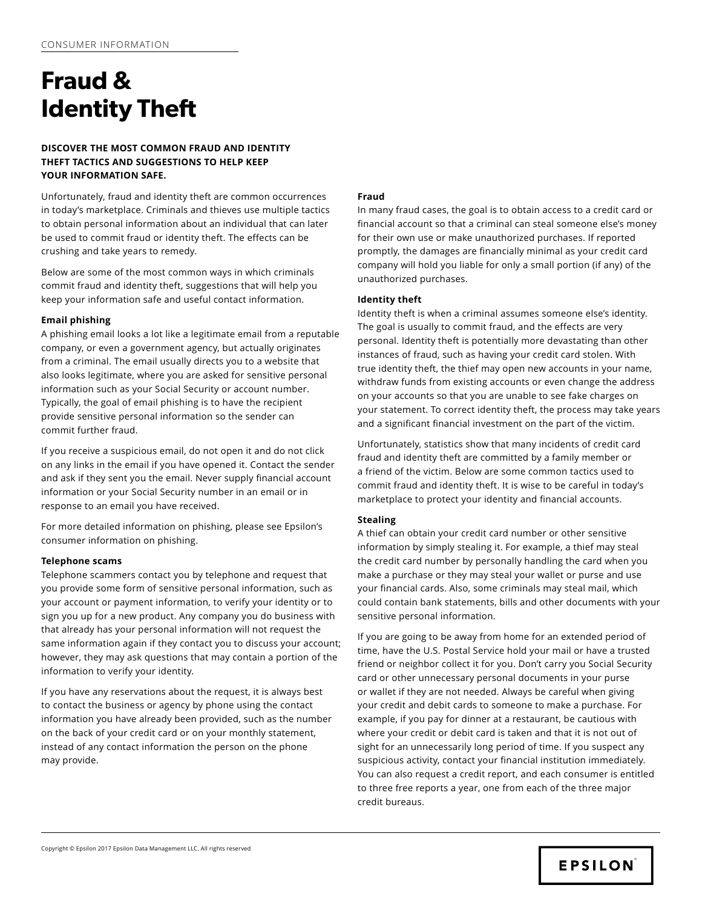# **Fraud & Identity Theft**

# **DISCOVER THE MOST COMMON FRAUD AND IDENTITY THEFT TACTICS AND SUGGESTIONS TO HELP KEEP YOUR INFORMATION SAFE.**

Unfortunately, fraud and identity theft are common occurrences in today's marketplace. Criminals and thieves use multiple tactics to obtain personal information about an individual that can later be used to commit fraud or identity theft. The effects can be crushing and take years to remedy.

Below are some of the most common ways in which criminals commit fraud and identity theft, suggestions that will help you keep your information safe and useful contact information.

## **Email phishing**

A phishing email looks a lot like a legitimate email from a reputable company, or even a government agency, but actually originates from a criminal. The email usually directs you to a website that also looks legitimate, where you are asked for sensitive personal information such as your Social Security or account number. Typically, the goal of email phishing is to have the recipient provide sensitive personal information so the sender can commit further fraud.

If you receive a suspicious email, do not open it and do not click on any links in the email if you have opened it. Contact the sender and ask if they sent you the email. Never supply financial account information or your Social Security number in an email or in response to an email you have received.

For more detailed information on phishing, please see Epsilon's consumer information on phishing.

## **Telephone scams**

Telephone scammers contact you by telephone and request that you provide some form of sensitive personal information, such as your account or payment information, to verify your identity or to sign you up for a new product. Any company you do business with that already has your personal information will not request the same information again if they contact you to discuss your account; however, they may ask questions that may contain a portion of the information to verify your identity.

If you have any reservations about the request, it is always best to contact the business or agency by phone using the contact information you have already been provided, such as the number on the back of your credit card or on your monthly statement, instead of any contact information the person on the phone may provide.

## **Fraud**

In many fraud cases, the goal is to obtain access to a credit card or financial account so that a criminal can steal someone else's money for their own use or make unauthorized purchases. If reported promptly, the damages are financially minimal as your credit card company will hold you liable for only a small portion (if any) of the unauthorized purchases.

## **Identity theft**

Identity theft is when a criminal assumes someone else's identity. The goal is usually to commit fraud, and the effects are very personal. Identity theft is potentially more devastating than other instances of fraud, such as having your credit card stolen. With true identity theft, the thief may open new accounts in your name, withdraw funds from existing accounts or even change the address on your accounts so that you are unable to see fake charges on your statement. To correct identity theft, the process may take years and a significant financial investment on the part of the victim.

Unfortunately, statistics show that many incidents of credit card fraud and identity theft are committed by a family member or a friend of the victim. Below are some common tactics used to commit fraud and identity theft. It is wise to be careful in today's marketplace to protect your identity and financial accounts.

# **Stealing**

A thief can obtain your credit card number or other sensitive information by simply stealing it. For example, a thief may steal the credit card number by personally handling the card when you make a purchase or they may steal your wallet or purse and use your financial cards. Also, some criminals may steal mail, which could contain bank statements, bills and other documents with your sensitive personal information.

If you are going to be away from home for an extended period of time, have the U.S. Postal Service hold your mail or have a trusted friend or neighbor collect it for you. Don't carry you Social Security card or other unnecessary personal documents in your purse or wallet if they are not needed. Always be careful when giving your credit and debit cards to someone to make a purchase. For example, if you pay for dinner at a restaurant, be cautious with where your credit or debit card is taken and that it is not out of sight for an unnecessarily long period of time. If you suspect any suspicious activity, contact your financial institution immediately. You can also request a credit report, and each consumer is entitled to three free reports a year, one from each of the three major credit bureaus.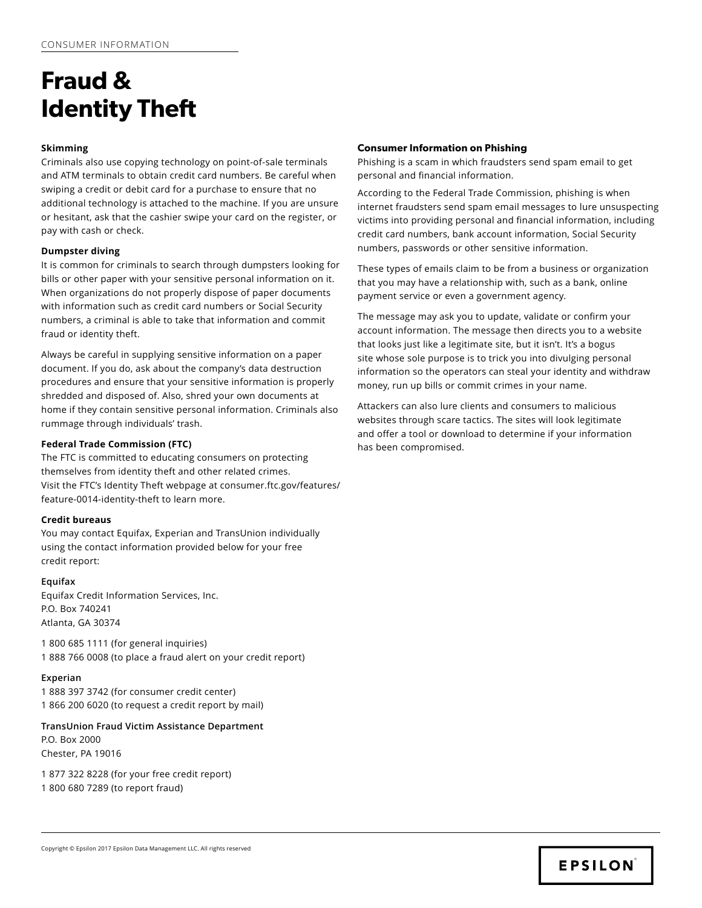# **Fraud & Identity Theft**

## **Skimming**

Criminals also use copying technology on point-of-sale terminals and ATM terminals to obtain credit card numbers. Be careful when swiping a credit or debit card for a purchase to ensure that no additional technology is attached to the machine. If you are unsure or hesitant, ask that the cashier swipe your card on the register, or pay with cash or check.

## **Dumpster diving**

It is common for criminals to search through dumpsters looking for bills or other paper with your sensitive personal information on it. When organizations do not properly dispose of paper documents with information such as credit card numbers or Social Security numbers, a criminal is able to take that information and commit fraud or identity theft.

Always be careful in supplying sensitive information on a paper document. If you do, ask about the company's data destruction procedures and ensure that your sensitive information is properly shredded and disposed of. Also, shred your own documents at home if they contain sensitive personal information. Criminals also rummage through individuals' trash.

## **Federal Trade Commission (FTC)**

The FTC is committed to educating consumers on protecting themselves from identity theft and other related crimes. [Visit the FTC's Identity Theft webpage at consumer.ftc.gov/features/](https://www.consumer.ftc.gov/features/feature-0014-identity-theft) [feature-0014-identity-theft to learn more](https://www.consumer.ftc.gov/features/feature-0014-identity-theft).

## **Credit bureaus**

You may contact Equifax, Experian and TransUnion individually using the contact information provided below for your free credit report:

## **Equifax**

Equifax Credit Information Services, Inc. P.O. Box 740241 Atlanta, GA 30374

1 800 685 1111 (for general inquiries) 1 888 766 0008 (to place a fraud alert on your credit report)

## **Experian**

1 888 397 3742 (for consumer credit center) 1 866 200 6020 (to request a credit report by mail)

**TransUnion Fraud Victim Assistance Department** P.O. Box 2000 Chester, PA 19016

1 877 322 8228 (for your free credit report) 1 800 680 7289 (to report fraud)

## **Consumer Information on Phishing**

Phishing is a scam in which fraudsters send spam email to get personal and financial information.

According to the Federal Trade Commission, phishing is when internet fraudsters send spam email messages to lure unsuspecting victims into providing personal and financial information, including credit card numbers, bank account information, Social Security numbers, passwords or other sensitive information.

These types of emails claim to be from a business or organization that you may have a relationship with, such as a bank, online payment service or even a government agency.

The message may ask you to update, validate or confirm your account information. The message then directs you to a website that looks just like a legitimate site, but it isn't. It's a bogus site whose sole purpose is to trick you into divulging personal information so the operators can steal your identity and withdraw money, run up bills or commit crimes in your name.

Attackers can also lure clients and consumers to malicious websites through scare tactics. The sites will look legitimate and offer a tool or download to determine if your information has been compromised.

```
Copyright © Epsilon 2017 Epsilon Data Management LLC. All rights reserved
```